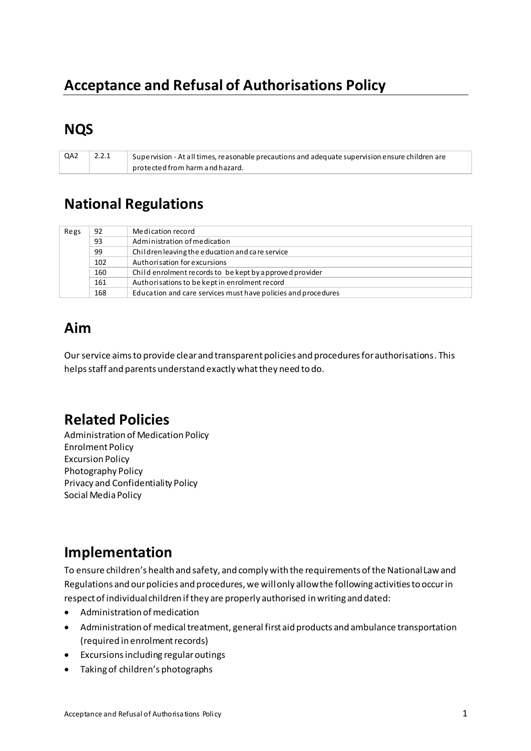# **Acceptance and Refusal of Authorisations Policy**

## **NQS**

QA2 2.2.1 Supervision - At all times, reasonable precautions and adequate supervision ensure children are protected from harm and hazard.

## **National Regulations**

| Regs | 92  | Medication record                                             |
|------|-----|---------------------------------------------------------------|
|      | 93  | Administration of medication                                  |
|      | 99  | Children leaving the education and care service               |
|      | 102 | Authorisation for excursions                                  |
|      | 160 | Child enrolment records to be kept by approved provider       |
|      | 161 | Authorisations to be kept in enrolment record                 |
|      | 168 | Education and care services must have policies and procedures |

# **Aim**

Our service aims to provide clear and transparent policies and procedures for authorisations. This helps staff and parents understand exactly what they need to do.

## **Related Policies**

Administration of Medication Policy Enrolment Policy Excursion Policy Photography Policy Privacy and Confidentiality Policy Social Media Policy

## **Implementation**

To ensure children's health and safety, and comply with the requirements of the National Law and Regulations and our policies and procedures, we will only allow the following activities to occur in respect of individual children if they are properly authorised in writing and dated:

- Administration of medication
- Administration of medical treatment, general first aid products and ambulance transportation (required in enrolment records)
- Excursions including regular outings
- Taking of children's photographs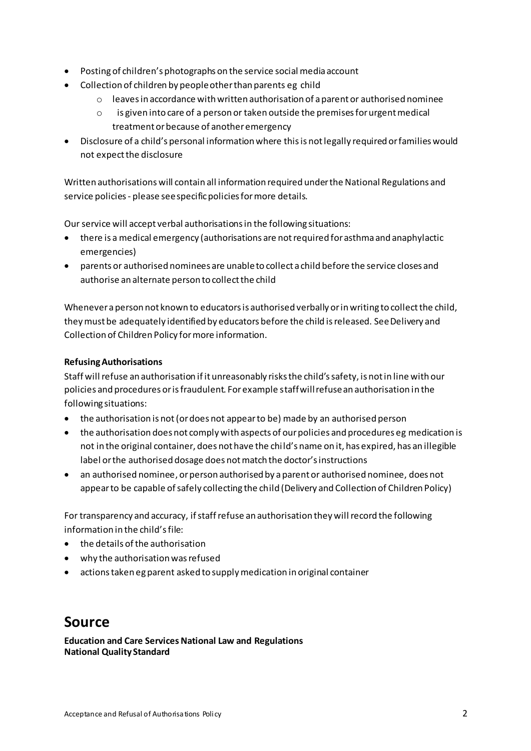- Posting of children's photographs on the service social media account
- Collection of children by people other than parents eg child
	- o leaves in accordance with written authorisation of a parent or authorised nominee
	- is given into care of a person or taken outside the premises for urgent medical  $\circ$ treatment or because of another emergency
- Disclosure of a child's personal information where this is not legally required or families would not expect the disclosure

Written authorisations will contain all information required under the National Regulations and service policies - please see specific policies for more details.

Our service will accept verbal authorisations in the following situations:

- there is a medical emergency (authorisations are not required for asthma and anaphylactic emergencies)
- parents or authorised nominees are unable to collect a child before the service closes and authorise an alternate person to collect the child

Whenever a person not known to educators is authorised verbally or in writing to collect the child, they must be adequately identified by educators before the child is released. See Delivery and Collection of Children Policy for more information.

#### **Refusing Authorisations**

Staff will refuse an authorisation if it unreasonably risks the child's safety, is not in line with our policies and procedures or is fraudulent. For example staff will refuse an authorisation in the following situations:

- the authorisation is not (or does not appear to be) made by an authorised person
- the authorisation does not comply with aspects of our policies and procedures eg medication is not in the original container, does not have the child's name on it, has expired, has an illegible label or the authorised dosage does not match the doctor's instructions
- an authorised nominee, or person authorised by a parent or authorised nominee, does not appear to be capable of safely collecting the child (Delivery and Collection of Children Policy)

For transparency and accuracy, if staff refuse an authorisation they will record the following information in the child's file:

- the details of the authorisation
- why the authorisation was refused
- actions taken eg parent asked to supply medication in original container

#### **Source**

**Education and Care Services National Law and Regulations National Quality Standard**